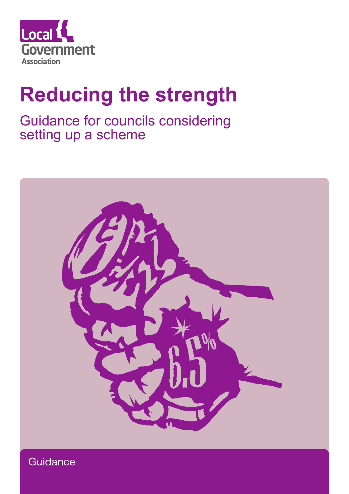

# **Reducing the strength**

Guidance for councils considering setting up a scheme



**Guidance**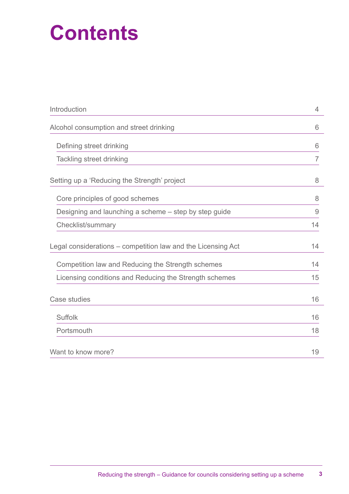## **Contents**

| Introduction                                                 | 4              |
|--------------------------------------------------------------|----------------|
| Alcohol consumption and street drinking                      | 6              |
| Defining street drinking                                     | 6              |
| <b>Tackling street drinking</b>                              | $\overline{7}$ |
| Setting up a 'Reducing the Strength' project                 | 8              |
| Core principles of good schemes                              | 8              |
| Designing and launching a scheme – step by step guide        | 9              |
| Checklist/summary                                            | 14             |
| Legal considerations – competition law and the Licensing Act | 14             |
| Competition law and Reducing the Strength schemes            | 14             |
| Licensing conditions and Reducing the Strength schemes       | 15             |
| Case studies                                                 | 16             |
| <b>Suffolk</b>                                               | 16             |
| Portsmouth                                                   | 18             |
| Want to know more?                                           | 19             |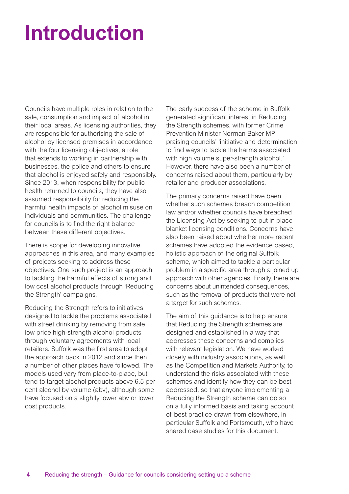# **Introduction**

Councils have multiple roles in relation to the sale, consumption and impact of alcohol in their local areas. As licensing authorities, they are responsible for authorising the sale of alcohol by licensed premises in accordance with the four licensing objectives, a role that extends to working in partnership with businesses, the police and others to ensure that alcohol is enjoyed safely and responsibly. Since 2013, when responsibility for public health returned to councils, they have also assumed responsibility for reducing the harmful health impacts of alcohol misuse on individuals and communities. The challenge for councils is to find the right balance between these different objectives.

There is scope for developing innovative approaches in this area, and many examples of projects seeking to address these objectives. One such project is an approach to tackling the harmful effects of strong and low cost alcohol products through 'Reducing the Strength' campaigns.

Reducing the Strength refers to initiatives designed to tackle the problems associated with street drinking by removing from sale low price high-strength alcohol products through voluntary agreements with local retailers. Suffolk was the first area to adopt the approach back in 2012 and since then a number of other places have followed. The models used vary from place-to-place, but tend to target alcohol products above 6.5 per cent alcohol by volume (abv), although some have focused on a slightly lower abv or lower cost products.

The early success of the scheme in Suffolk generated significant interest in Reducing the Strength schemes, with former Crime Prevention Minister Norman Baker MP praising councils' 'initiative and determination to find ways to tackle the harms associated with high volume super-strength alcohol.' However, there have also been a number of concerns raised about them, particularly by retailer and producer associations.

The primary concerns raised have been whether such schemes breach competition law and/or whether councils have breached the Licensing Act by seeking to put in place blanket licensing conditions. Concerns have also been raised about whether more recent schemes have adopted the evidence based, holistic approach of the original Suffolk scheme, which aimed to tackle a particular problem in a specific area through a joined up approach with other agencies. Finally, there are concerns about unintended consequences, such as the removal of products that were not a target for such schemes.

The aim of this guidance is to help ensure that Reducing the Strength schemes are designed and established in a way that addresses these concerns and complies with relevant legislation. We have worked closely with industry associations, as well as the Competition and Markets Authority, to understand the risks associated with these schemes and identify how they can be best addressed, so that anyone implementing a Reducing the Strength scheme can do so on a fully informed basis and taking account of best practice drawn from elsewhere, in particular Suffolk and Portsmouth, who have shared case studies for this document.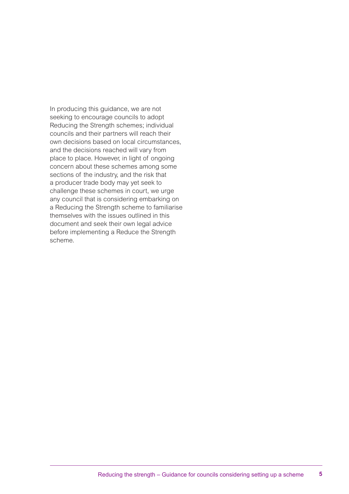In producing this guidance, we are not seeking to encourage councils to adopt Reducing the Strength schemes; individual councils and their partners will reach their own decisions based on local circumstances, and the decisions reached will vary from place to place. However, in light of ongoing concern about these schemes among some sections of the industry, and the risk that a producer trade body may yet seek to challenge these schemes in court, we urge any council that is considering embarking on a Reducing the Strength scheme to familiarise themselves with the issues outlined in this document and seek their own legal advice before implementing a Reduce the Strength scheme.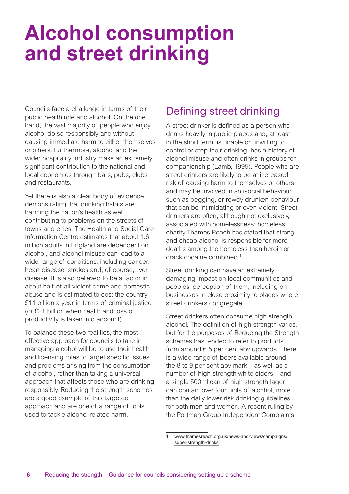## **Alcohol consumption and street drinking**

Councils face a challenge in terms of their public health role and alcohol. On the one hand, the vast majority of people who enjoy alcohol do so responsibly and without causing immediate harm to either themselves or others. Furthermore, alcohol and the wider hospitality industry make an extremely significant contribution to the national and local economies through bars, pubs, clubs and restaurants.

Yet there is also a clear body of evidence demonstrating that drinking habits are harming the nation's health as well contributing to problems on the streets of towns and cities. The Health and Social Care Information Centre estimates that about 1.6 million adults in England are dependent on alcohol, and alcohol misuse can lead to a wide range of conditions, including cancer, heart disease, strokes and, of course, liver disease. It is also believed to be a factor in about half of all violent crime and domestic abuse and is estimated to cost the country £11 billion a year in terms of criminal justice (or £21 billion when health and loss of productivity is taken into account).

To balance these two realities, the most effective approach for councils to take in managing alcohol will be to use their health and licensing roles to target specific issues and problems arising from the consumption of alcohol, rather than taking a universal approach that affects those who are drinking responsibly. Reducing the strength schemes are a good example of this targeted approach and are one of a range of tools used to tackle alcohol related harm.

## Defining street drinking

A street drinker is defined as a person who drinks heavily in public places and, at least in the short term, is unable or unwilling to control or stop their drinking, has a history of alcohol misuse and often drinks in groups for companionship (Lamb, 1995). People who are street drinkers are likely to be at increased risk of causing harm to themselves or others and may be involved in antisocial behaviour such as begging, or rowdy drunken behaviour that can be intimidating or even violent. Street drinkers are often, although not exclusively, associated with homelessness; homeless charity Thames Reach has stated that strong and cheap alcohol is responsible for more deaths among the homeless than heroin or crack cocaine combined.1

Street drinking can have an extremely damaging impact on local communities and peoples' perception of them, including on businesses in close proximity to places where street drinkers congregate.

Street drinkers often consume high strength alcohol. The definition of high strength varies, but for the purposes of Reducing the Strength schemes has tended to refer to products from around 6.5 per cent abv upwards. There is a wide range of beers available around the 8 to 9 per cent abv mark – as well as a number of high-strength white ciders – and a single 500ml can of high strength lager can contain over four units of alcohol, more than the daily lower risk drinking guidelines for both men and women. A recent ruling by the Portman Group Independent Complaints

www.thamesreach.org.uk/news-and-views/campaigns/ super-strength-drinks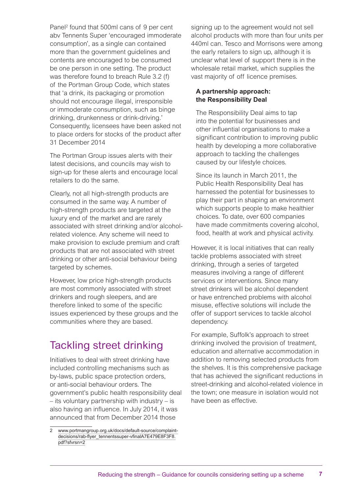Panel<sup>2</sup> found that 500ml cans of 9 per cent abv Tennents Super 'encouraged immoderate consumption', as a single can contained more than the government quidelines and contents are encouraged to be consumed be one person in one setting. The product was therefore found to breach Rule 3.2 (f) of the Portman Group Code, which states that 'a drink, its packaging or promotion should not encourage illegal, irresponsible or immoderate consumption, such as binge drinking, drunkenness or drink-driving.' Consequently, licensees have been asked not to place orders for stocks of the product after 31 December 2014

The Portman Group issues alerts with their latest decisions, and councils may wish to sign-up for these alerts and encourage local retailers to do the same.

Clearly, not all high-strength products are consumed in the same way. A number of high-strength products are targeted at the luxury end of the market and are rarely associated with street drinking and/or alcoholrelated violence. Any scheme will need to make provision to exclude premium and craft products that are not associated with street drinking or other anti-social behaviour being targeted by schemes.

However, low price high-strength products are most commonly associated with street drinkers and rough sleepers, and are therefore linked to some of the specific issues experienced by these groups and the communities where they are based.

## Tackling street drinking

Initiatives to deal with street drinking have included controlling mechanisms such as by-laws, public space protection orders, or anti-social behaviour orders. The government's public health responsibility deal – its voluntary partnership with industry – is also having an influence. In July 2014, it was announced that from December 2014 those

signing up to the agreement would not sell alcohol products with more than four units per 440ml can. Tesco and Morrisons were among the early retailers to sign up, although it is unclear what level of support there is in the wholesale retail market, which supplies the vast majority of off licence premises.

### **A partnership approach: the Responsibility Deal**

The Responsibility Deal aims to tap into the potential for businesses and other influential organisations to make a significant contribution to improving public health by developing a more collaborative approach to tackling the challenges caused by our lifestyle choices.

Since its launch in March 2011, the Public Health Responsibility Deal has harnessed the potential for businesses to play their part in shaping an environment which supports people to make healthier choices. To date, over 600 companies have made commitments covering alcohol, food, health at work and physical activity.

However, it is local initiatives that can really tackle problems associated with street drinking, through a series of targeted measures involving a range of different services or interventions. Since many street drinkers will be alcohol dependent or have entrenched problems with alcohol misuse, effective solutions will include the offer of support services to tackle alcohol dependency.

For example, Suffolk's approach to street drinking involved the provision of treatment, education and alternative accommodation in addition to removing selected products from the shelves. It is this comprehensive package that has achieved the significant reductions in street-drinking and alcohol-related violence in the town; one measure in isolation would not have been as effective.

<sup>2</sup> www.portmangroup.org.uk/docs/default-source/complaintdecisions/rab-flyer\_tennentssuper-vfinalA7E479E8F3F8. pdf?sfvrsn=2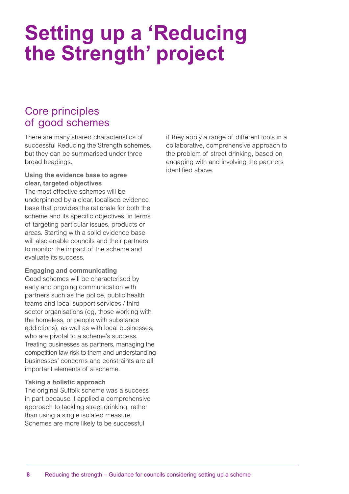## **Setting up a 'Reducing the Strength' project**

### Core principles of good schemes

There are many shared characteristics of successful Reducing the Strength schemes, but they can be summarised under three broad headings.

### **Using the evidence base to agree clear, targeted objectives**

The most effective schemes will be underpinned by a clear, localised evidence base that provides the rationale for both the scheme and its specific objectives, in terms of targeting particular issues, products or areas. Starting with a solid evidence base will also enable councils and their partners to monitor the impact of the scheme and evaluate its success.

### **Engaging and communicating**

Good schemes will be characterised by early and ongoing communication with partners such as the police, public health teams and local support services / third sector organisations (eg, those working with the homeless, or people with substance addictions), as well as with local businesses, who are pivotal to a scheme's success. Treating businesses as partners, managing the competition law risk to them and understanding businesses' concerns and constraints are all important elements of a scheme.

### **Taking a holistic approach**

The original Suffolk scheme was a success in part because it applied a comprehensive approach to tackling street drinking, rather than using a single isolated measure. Schemes are more likely to be successful

if they apply a range of different tools in a collaborative, comprehensive approach to the problem of street drinking, based on engaging with and involving the partners identified above.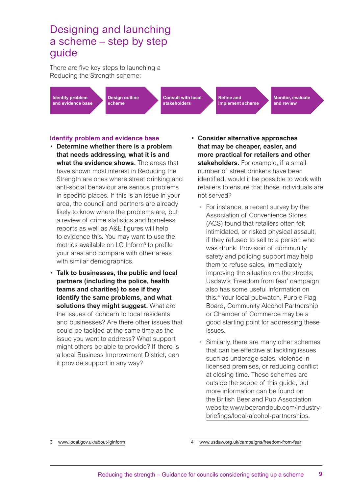### Designing and launching a scheme – step by step guide

There are five key steps to launching a Reducing the Strength scheme:

**Identify problem and evidence base** **Design outline scheme**

**Consult with local stakeholders**

**Refine and implement scheme** **Monitor, evaluate and review**

### **Identify problem and evidence base**

- **Determine whether there is a problem that needs addressing, what it is and what the evidence shows.** The areas that have shown most interest in Reducing the Strength are ones where street drinking and anti-social behaviour are serious problems in specific places. If this is an issue in your area, the council and partners are already likely to know where the problems are, but a review of crime statistics and homeless reports as well as A&E figures will help to evidence this. You may want to use the metrics available on LG Inform<sup>3</sup> to profile your area and compare with other areas with similar demographics.
- **Talk to businesses, the public and local partners (including the police, health teams and charities) to see if they identify the same problems, and what solutions they might suggest.** What are the issues of concern to local residents and businesses? Are there other issues that could be tackled at the same time as the issue you want to address? What support might others be able to provide? If there is a local Business Improvement District, can it provide support in any way?
- **Consider alternative approaches that may be cheaper, easier, and more practical for retailers and other stakeholders.** For example, if a small number of street drinkers have been identified, would it be possible to work with retailers to ensure that those individuals are not served?
	- For instance, a recent survey by the Association of Convenience Stores (ACS) found that retailers often felt intimidated, or risked physical assault, if they refused to sell to a person who was drunk. Provision of community safety and policing support may help them to refuse sales, immediately improving the situation on the streets; Usdaw's 'Freedom from fear' campaign also has some useful information on this.4 Your local pubwatch, Purple Flag Board, Community Alcohol Partnership or Chamber of Commerce may be a good starting point for addressing these issues.
	- Similarly, there are many other schemes that can be effective at tackling issues such as underage sales, violence in licensed premises, or reducing conflict at closing time. These schemes are outside the scope of this guide, but more information can be found on the British Beer and Pub Association website www.beerandpub.com/industrybriefings/local-alcohol-partnerships.

<sup>3</sup> www.local.gov.uk/about-lginform

<sup>4</sup> [www.usdaw.org.uk/campaigns/freedom-from-fear](https://www.usdaw.org.uk/Campaigns/Freedom-From-Fear)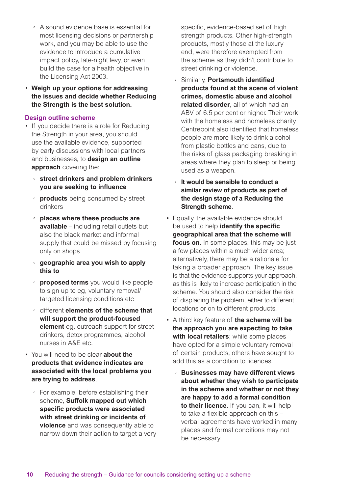- A sound evidence base is essential for most licensing decisions or partnership work, and you may be able to use the evidence to introduce a cumulative impact policy, late-night levy, or even build the case for a health objective in the Licensing Act 2003.
- **Weigh up your options for addressing the issues and decide whether Reducing the Strength is the best solution.**

### **Design outline scheme**

- If you decide there is a role for Reducing the Strength in your area, you should use the available evidence, supported by early discussions with local partners and businesses, to **design an outline approach** covering the:
	- **street drinkers and problem drinkers you are seeking to influence**
	- **products** being consumed by street drinkers
	- **places where these products are available** – including retail outlets but also the black market and informal supply that could be missed by focusing only on shops
	- **geographic area you wish to apply this to**
	- **proposed terms** you would like people to sign up to eg, voluntary removal/ targeted licensing conditions etc
	- different **elements of the scheme that will support the product-focused element** eg, outreach support for street drinkers, detox programmes, alcohol nurses in A&E etc.
- You will need to be clear **about the products that evidence indicates are associated with the local problems you are trying to address**.
	- For example, before establishing their scheme, **Suffolk mapped out which specific products were associated with street drinking or incidents of violence** and was consequently able to narrow down their action to target a very

specific, evidence-based set of high strength products. Other high-strength products, mostly those at the luxury end, were therefore exempted from the scheme as they didn't contribute to street drinking or violence.

- Similarly, **Portsmouth identified products found at the scene of violent crimes, domestic abuse and alcohol related disorder**, all of which had an ABV of 6.5 per cent or higher. Their work with the homeless and homeless charity Centrepoint also identified that homeless people are more likely to drink alcohol from plastic bottles and cans, due to the risks of glass packaging breaking in areas where they plan to sleep or being used as a weapon.
- **It would be sensible to conduct a similar review of products as part of the design stage of a Reducing the Strength scheme**.
- Equally, the available evidence should be used to help **identify the specific geographical area that the scheme will focus on**. In some places, this may be just a few places within a much wider area; alternatively, there may be a rationale for taking a broader approach. The key issue is that the evidence supports your approach, as this is likely to increase participation in the scheme. You should also consider the risk of displacing the problem, either to different locations or on to different products.
- A third key feature of **the scheme will be the approach you are expecting to take with local retailers**; while some places have opted for a simple voluntary removal of certain products, others have sought to add this as a condition to licences.
	- **Businesses may have different views about whether they wish to participate in the scheme and whether or not they are happy to add a formal condition to their licence**. If you can, it will help to take a flexible approach on this – verbal agreements have worked in many places and formal conditions may not be necessary.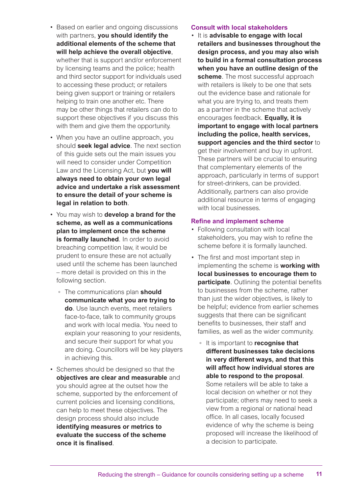- Based on earlier and ongoing discussions with partners, **you should identify the additional elements of the scheme that will help achieve the overall objective**, whether that is support and/or enforcement by licensing teams and the police; health and third sector support for individuals used to accessing these product; or retailers being given support or training or retailers helping to train one another etc. There may be other things that retailers can do to support these objectives if you discuss this with them and give them the opportunity.
- When you have an outline approach, you should **seek legal advice**. The next section of this guide sets out the main issues you will need to consider under Competition Law and the Licensing Act, but **you will always need to obtain your own legal advice and undertake a risk assessment to ensure the detail of your scheme is legal in relation to both**.
- You may wish to **develop a brand for the scheme, as well as a communications plan to implement once the scheme is formally launched**. In order to avoid breaching competition law, it would be prudent to ensure these are not actually used until the scheme has been launched – more detail is provided on this in the following section.
	- The communications plan **should communicate what you are trying to do**. Use launch events, meet retailers face-to-face, talk to community groups and work with local media. You need to explain your reasoning to your residents, and secure their support for what you are doing. Councillors will be key players in achieving this.
- Schemes should be designed so that the **objectives are clear and measurable** and you should agree at the outset how the scheme, supported by the enforcement of current policies and licensing conditions, can help to meet these objectives. The design process should also include **identifying measures or metrics to evaluate the success of the scheme once it is finalised**.

### **Consult with local stakeholders**

• It is **advisable to engage with local retailers and businesses throughout the design process, and you may also wish to build in a formal consultation process when you have an outline design of the scheme**. The most successful approach with retailers is likely to be one that sets out the evidence base and rationale for what you are trying to, and treats them as a partner in the scheme that actively encourages feedback. **Equally, it is important to engage with local partners including the police, health services, support agencies and the third sector** to get their involvement and buy in upfront. These partners will be crucial to ensuring that complementary elements of the approach, particularly in terms of support for street-drinkers, can be provided. Additionally, partners can also provide additional resource in terms of engaging with local businesses.

### **Refine and implement scheme**

- Following consultation with local stakeholders, you may wish to refine the scheme before it is formally launched.
- The first and most important step in implementing the scheme is **working with local businesses to encourage them to participate**. Outlining the potential benefits to businesses from the scheme, rather than just the wider objectives, is likely to be helpful; evidence from earlier schemes suggests that there can be significant benefits to businesses, their staff and families, as well as the wider community.
	- It is important to **recognise that different businesses take decisions in very different ways, and that this will affect how individual stores are able to respond to the proposal**. Some retailers will be able to take a local decision on whether or not they participate; others may need to seek a view from a regional or national head office. In all cases, locally focused evidence of why the scheme is being proposed will increase the likelihood of a decision to participate.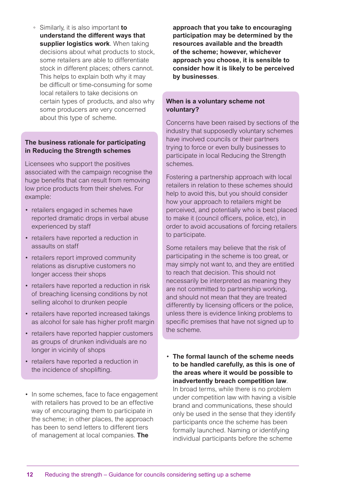◦ Similarly, it is also important **to understand the different ways that supplier logistics work**. When taking decisions about what products to stock, some retailers are able to differentiate stock in different places; others cannot. This helps to explain both why it may be difficult or time-consuming for some local retailers to take decisions on certain types of products, and also why some producers are very concerned about this type of scheme.

### **The business rationale for participating in Reducing the Strength schemes**

Licensees who support the positives associated with the campaign recognise the huge benefits that can result from removing low price products from their shelves. For example:

- retailers engaged in schemes have reported dramatic drops in verbal abuse experienced by staff
- retailers have reported a reduction in assaults on staff
- retailers report improved community relations as disruptive customers no longer access their shops
- retailers have reported a reduction in risk of breaching licensing conditions by not selling alcohol to drunken people
- retailers have reported increased takings as alcohol for sale has higher profit margin
- retailers have reported happier customers as groups of drunken individuals are no longer in vicinity of shops
- retailers have reported a reduction in the incidence of shoplifting.
- In some schemes, face to face engagement with retailers has proved to be an effective way of encouraging them to participate in the scheme; in other places, the approach has been to send letters to different tiers of management at local companies. **The**

**approach that you take to encouraging participation may be determined by the resources available and the breadth of the scheme; however, whichever approach you choose, it is sensible to consider how it is likely to be perceived by businesses**.

### **When is a voluntary scheme not voluntary?**

Concerns have been raised by sections of the industry that supposedly voluntary schemes have involved councils or their partners trying to force or even bully businesses to participate in local Reducing the Strength schemes.

Fostering a partnership approach with local retailers in relation to these schemes should help to avoid this, but you should consider how your approach to retailers might be perceived, and potentially who is best placed to make it (council officers, police, etc), in order to avoid accusations of forcing retailers to participate.

Some retailers may believe that the risk of participating in the scheme is too great, or may simply not want to, and they are entitled to reach that decision. This should not necessarily be interpreted as meaning they are not committed to partnership working, and should not mean that they are treated differently by licensing officers or the police, unless there is evidence linking problems to specific premises that have not signed up to the scheme.

• **The formal launch of the scheme needs to be handled carefully, as this is one of the areas where it would be possible to inadvertently breach competition law**.

In broad terms, while there is no problem under competition law with having a visible brand and communications, these should only be used in the sense that they identify participants once the scheme has been formally launched. Naming or identifying individual participants before the scheme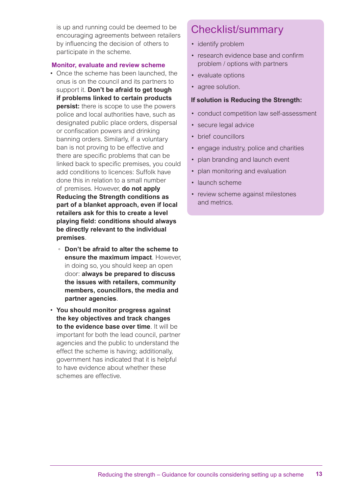is up and running could be deemed to be encouraging agreements between retailers by influencing the decision of others to participate in the scheme.

#### **Monitor, evaluate and review scheme**

- Once the scheme has been launched, the onus is on the council and its partners to support it. **Don't be afraid to get tough if problems linked to certain products persist:** there is scope to use the powers police and local authorities have, such as designated public place orders, dispersal or confiscation powers and drinking banning orders. Similarly, if a voluntary ban is not proving to be effective and there are specific problems that can be linked back to specific premises, you could add conditions to licences: Suffolk have done this in relation to a small number of premises. However, **do not apply Reducing the Strength conditions as part of a blanket approach, even if local retailers ask for this to create a level playing field: conditions should always be directly relevant to the individual premises**.
	- **Don't be afraid to alter the scheme to ensure the maximum impact**. However, in doing so, you should keep an open door: **always be prepared to discuss the issues with retailers, community members, councillors, the media and partner agencies**.
- **You should monitor progress against the key objectives and track changes to the evidence base over time**. It will be important for both the lead council, partner agencies and the public to understand the effect the scheme is having; additionally, government has indicated that it is helpful to have evidence about whether these schemes are effective.

### Checklist/summary

- identify problem
- research evidence base and confirm problem / options with partners
- evaluate options
- agree solution.

#### **If solution is Reducing the Strength:**

- conduct competition law self-assessment
- secure legal advice
- brief councillors
- engage industry, police and charities
- plan branding and launch event
- plan monitoring and evaluation
- launch scheme
- review scheme against milestones and metrics.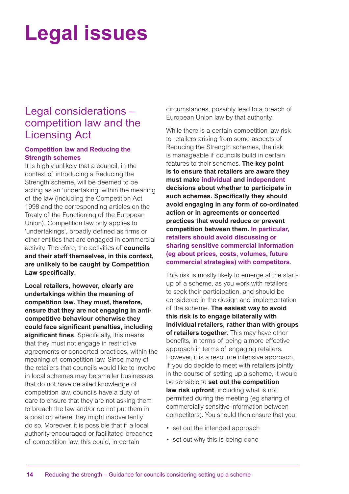# **Legal issues**

### Legal considerations – competition law and the Licensing Act

### **Competition law and Reducing the Strength schemes**

It is highly unlikely that a council, in the context of introducing a Reducing the Strength scheme, will be deemed to be acting as an 'undertaking' within the meaning of the law (including the Competition Act 1998 and the corresponding articles on the Treaty of the Functioning of the European Union). Competition law only applies to 'undertakings', broadly defined as firms or other entities that are engaged in commercial activity. Therefore, the activities of **councils and their staff themselves, in this context, are unlikely to be caught by Competition Law specifically**.

**Local retailers, however, clearly are undertakings within the meaning of competition law. They must, therefore, ensure that they are not engaging in anticompetitive behaviour otherwise they could face significant penalties, including significant fines**. Specifically, this means that they must not engage in restrictive agreements or concerted practices, within the meaning of competition law. Since many of the retailers that councils would like to involve in local schemes may be smaller businesses that do not have detailed knowledge of competition law, councils have a duty of care to ensure that they are not asking them to breach the law and/or do not put them in a position where they might inadvertently do so. Moreover, it is possible that if a local authority encouraged or facilitated breaches of competition law, this could, in certain

circumstances, possibly lead to a breach of European Union law by that authority.

While there is a certain competition law risk to retailers arising from some aspects of Reducing the Strength schemes, the risk is manageable if councils build in certain features to their schemes. **The key point is to ensure that retailers are aware they must make individual and independent decisions about whether to participate in such schemes. Specifically they should avoid engaging in any form of co-ordinated action or in agreements or concerted practices that would reduce or prevent competition between them. In particular, retailers should avoid discussing or sharing sensitive commercial information (eg about prices, costs, volumes, future commercial strategies) with competitors**.

This risk is mostly likely to emerge at the startup of a scheme, as you work with retailers to seek their participation, and should be considered in the design and implementation of the scheme. **The easiest way to avoid this risk is to engage bilaterally with individual retailers, rather than with groups of retailers together**. This may have other benefits, in terms of being a more effective approach in terms of engaging retailers. However, it is a resource intensive approach. If you do decide to meet with retailers jointly in the course of setting up a scheme, it would be sensible to **set out the competition law risk upfront**, including what is not permitted during the meeting (eg sharing of commercially sensitive information between competitors). You should then ensure that you:

- set out the intended approach
- set out why this is being done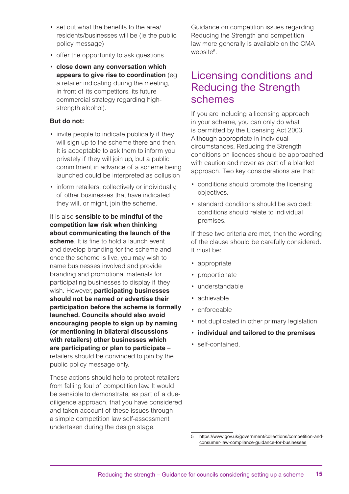- set out what the benefits to the area/ residents/businesses will be (ie the public policy message)
- offer the opportunity to ask questions
- **close down any conversation which appears to give rise to coordination** (eg a retailer indicating during the meeting, in front of its competitors, its future commercial strategy regarding highstrength alcohol).

### **But do not:**

- invite people to indicate publically if they will sign up to the scheme there and then. It is acceptable to ask them to inform you privately if they will join up, but a public commitment in advance of a scheme being launched could be interpreted as collusion
- inform retailers, collectively or individually, of other businesses that have indicated they will, or might, join the scheme.

It is also **sensible to be mindful of the competition law risk when thinking about communicating the launch of the scheme**. It is fine to hold a launch event and develop branding for the scheme and once the scheme is live, you may wish to name businesses involved and provide branding and promotional materials for participating businesses to display if they wish. However, **participating businesses should not be named or advertise their participation before the scheme is formally launched. Councils should also avoid encouraging people to sign up by naming (or mentioning in bilateral discussions with retailers) other businesses which are participating or plan to participate** – retailers should be convinced to join by the public policy message only.

These actions should help to protect retailers from falling foul of competition law. It would be sensible to demonstrate, as part of a duediligence approach, that you have considered and taken account of these issues through a simple competition law self-assessment undertaken during the design stage.

Guidance on competition issues regarding Reducing the Strength and competition law more generally is available on the CMA website<sup>5</sup>.

### Licensing conditions and Reducing the Strength schemes

If you are including a licensing approach in your scheme, you can only do what is permitted by the Licensing Act 2003. Although appropriate in individual circumstances, Reducing the Strength conditions on licences should be approached with caution and never as part of a blanket approach. Two key considerations are that:

- conditions should promote the licensing objectives.
- standard conditions should be avoided: conditions should relate to individual premises.

If these two criteria are met, then the wording of the clause should be carefully considered. It must be:

- appropriate
- proportionate
- understandable
- achievable
- enforceable
- not duplicated in other primary legislation
- **individual and tailored to the premises**
- self-contained.

<sup>5</sup> [https://www.gov.uk/government/collections/competition-and](https://www.gov.uk/government/collections/competition-and-consumer-law-compliance-guidance-for-businesses)[consumer-law-compliance-guidance-for-businesses](https://www.gov.uk/government/collections/competition-and-consumer-law-compliance-guidance-for-businesses)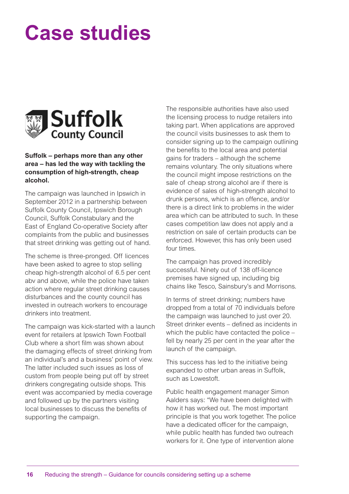# **Case studies**



### **Suffolk – perhaps more than any other area – has led the way with tackling the consumption of high-strength, cheap alcohol.**

The campaign was launched in Ipswich in September 2012 in a partnership between Suffolk County Council, Ipswich Borough Council, Suffolk Constabulary and the East of England Co-operative Society after complaints from the public and businesses that street drinking was getting out of hand.

The scheme is three-pronged. Off licences have been asked to agree to stop selling cheap high-strength alcohol of 6.5 per cent abv and above, while the police have taken action where regular street drinking causes disturbances and the county council has invested in outreach workers to encourage drinkers into treatment.

The campaign was kick-started with a launch event for retailers at Ipswich Town Football Club where a short film was shown about the damaging effects of street drinking from an individual's and a business' point of view. The latter included such issues as loss of custom from people being put off by street drinkers congregating outside shops. This event was accompanied by media coverage and followed up by the partners visiting local businesses to discuss the benefits of supporting the campaign.

The responsible authorities have also used the licensing process to nudge retailers into taking part. When applications are approved the council visits businesses to ask them to consider signing up to the campaign outlining the benefits to the local area and potential gains for traders – although the scheme remains voluntary. The only situations where the council might impose restrictions on the sale of cheap strong alcohol are if there is evidence of sales of high-strength alcohol to drunk persons, which is an offence, and/or there is a direct link to problems in the wider area which can be attributed to such. In these cases competition law does not apply and a restriction on sale of certain products can be enforced. However, this has only been used four times.

The campaign has proved incredibly successful. Ninety out of 138 off-licence premises have signed up, including big chains like Tesco, Sainsbury's and Morrisons.

In terms of street drinking; numbers have dropped from a total of 70 individuals before the campaign was launched to just over 20. Street drinker events – defined as incidents in which the public have contacted the police – fell by nearly 25 per cent in the year after the launch of the campaign.

This success has led to the initiative being expanded to other urban areas in Suffolk, such as Lowestoft.

Public health engagement manager Simon Aalders says: "We have been delighted with how it has worked out. The most important principle is that you work together. The police have a dedicated officer for the campaign, while public health has funded two outreach workers for it. One type of intervention alone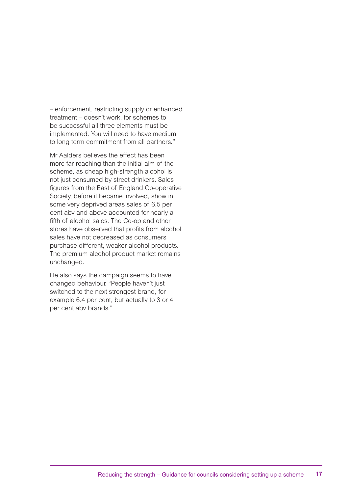– enforcement, restricting supply or enhanced treatment – doesn't work, for schemes to be successful all three elements must be implemented. You will need to have medium to long term commitment from all partners."

Mr Aalders believes the effect has been more far-reaching than the initial aim of the scheme, as cheap high-strength alcohol is not just consumed by street drinkers. Sales figures from the East of England Co-operative Society, before it became involved, show in some very deprived areas sales of 6.5 per cent abv and above accounted for nearly a fifth of alcohol sales. The Co-op and other stores have observed that profits from alcohol sales have not decreased as consumers purchase different, weaker alcohol products. The premium alcohol product market remains unchanged.

He also says the campaign seems to have changed behaviour. "People haven't just switched to the next strongest brand, for example 6.4 per cent, but actually to 3 or 4 per cent abv brands."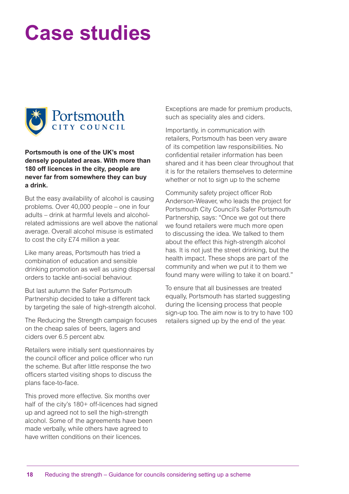# **Case studies**



**Portsmouth is one of the UK's most densely populated areas. With more than 180 off licences in the city, people are never far from somewhere they can buy a drink.**

But the easy availability of alcohol is causing problems. Over 40,000 people – one in four adults – drink at harmful levels and alcoholrelated admissions are well above the national average. Overall alcohol misuse is estimated to cost the city £74 million a year.

Like many areas, Portsmouth has tried a combination of education and sensible drinking promotion as well as using dispersal orders to tackle anti-social behaviour.

But last autumn the Safer Portsmouth Partnership decided to take a different tack by targeting the sale of high-strength alcohol.

The Reducing the Strength campaign focuses on the cheap sales of beers, lagers and ciders over 6.5 percent abv.

Retailers were initially sent questionnaires by the council officer and police officer who run the scheme. But after little response the two officers started visiting shops to discuss the plans face-to-face.

This proved more effective. Six months over half of the city's 180+ off-licences had signed up and agreed not to sell the high-strength alcohol. Some of the agreements have been made verbally, while others have agreed to have written conditions on their licences.

Exceptions are made for premium products, such as speciality ales and ciders.

Importantly, in communication with retailers, Portsmouth has been very aware of its competition law responsibilities. No confidential retailer information has been shared and it has been clear throughout that it is for the retailers themselves to determine whether or not to sign up to the scheme

Community safety project officer Rob Anderson-Weaver, who leads the project for Portsmouth City Council's Safer Portsmouth Partnership, says: "Once we got out there we found retailers were much more open to discussing the idea. We talked to them about the effect this high-strength alcohol has. It is not just the street drinking, but the health impact. These shops are part of the community and when we put it to them we found many were willing to take it on board."

To ensure that all businesses are treated equally, Portsmouth has started suggesting during the licensing process that people sign-up too. The aim now is to try to have 100 retailers signed up by the end of the year.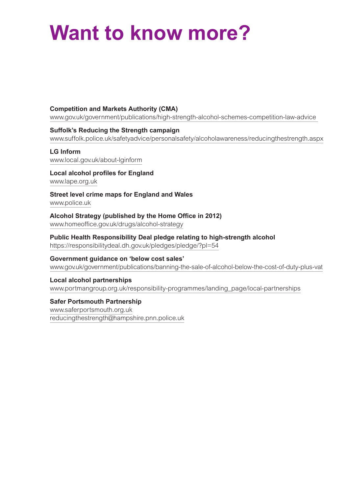## **Want to know more?**

### **Competition and Markets Authority (CMA)**

www.gov.uk/government/publications/high-strength-alcohol-schemes-competition-law-advice

### **Suffolk's Reducing the Strength campaign**

www.suffolk.police.uk/safetyadvice/personalsafety/alcoholawareness/reducingthestrength.aspx

#### **LG Inform**

www.local.gov.uk/about-lginform

### **Local alcohol profiles for England**

www.lape.org.uk

### **Street level crime maps for England and Wales**

www.police.uk

### **Alcohol Strategy (published by the Home Office in 2012)** www.homeoffice.gov.uk/drugs/alcohol-strategy

### **Public Health Responsibility Deal pledge relating to high-strength alcohol**

https://responsibilitydeal.dh.gov.uk/pledges/pledge/?pl=54

### **Government guidance on 'below cost sales'**

www.gov.uk/government/publications/banning-the-sale-of-alcohol-below-the-cost-of-duty-plus-vat

### **Local alcohol partnerships**

www.portmangroup.org.uk/responsibility-programmes/landing\_page/local-partnerships

### **Safer Portsmouth Partnership**

www.saferportsmouth.org.uk reducingthestrength@hampshire.pnn.police.uk